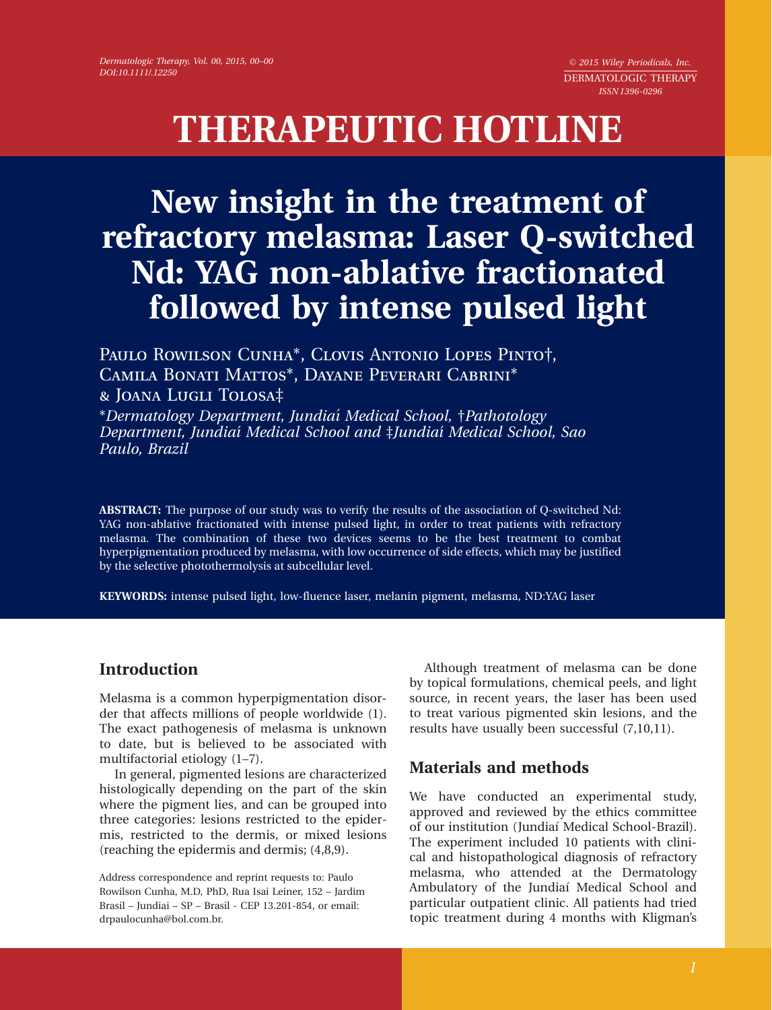$© 2015 Wiley Periodicals, Inc.$ DERMATOLOGIC THERAPY ISSN 1396-0296

# THERAPEUTIC HOTLINE

## New insight in the treatment of refractory melasma: Laser Q-switched Nd: YAG non-ablative fractionated followed by intense pulsed light

PAULO ROWILSON CUNHA\*, CLOVIS ANTONIO LOPES PINTO†, Camila Bonati Mattos\*, Dayane Peverari Cabrini\* & Joana Lugli Tolosa‡

\*Dermatology Department, Jundiaí Medical School, †Pathotology Department, Jundiaí Medical School and ‡Jundiaí Medical School, Sao Paulo, Brazil

ABSTRACT: The purpose of our study was to verify the results of the association of Q-switched Nd: YAG non-ablative fractionated with intense pulsed light, in order to treat patients with refractory melasma. The combination of these two devices seems to be the best treatment to combat hyperpigmentation produced by melasma, with low occurrence of side effects, which may be justified by the selective photothermolysis at subcellular level.

KEYWORDS: intense pulsed light, low-fluence laser, melanin pigment, melasma, ND:YAG laser

## **Introduction**

Melasma is a common hyperpigmentation disorder that affects millions of people worldwide (1). The exact pathogenesis of melasma is unknown to date, but is believed to be associated with multifactorial etiology (1–7).

In general, pigmented lesions are characterized histologically depending on the part of the skin where the pigment lies, and can be grouped into three categories: lesions restricted to the epidermis, restricted to the dermis, or mixed lesions (reaching the epidermis and dermis; (4,8,9).

Although treatment of melasma can be done by topical formulations, chemical peels, and light source, in recent years, the laser has been used to treat various pigmented skin lesions, and the results have usually been successful (7,10,11).

## Materials and methods

We have conducted an experimental study, approved and reviewed by the ethics committee of our institution (Jundiaí Medical School-Brazil). The experiment included 10 patients with clinical and histopathological diagnosis of refractory melasma, who attended at the Dermatology Ambulatory of the Jundiaí Medical School and particular outpatient clinic. All patients had tried topic treatment during 4 months with Kligman's

Address correspondence and reprint requests to: Paulo Rowilson Cunha, M.D, PhD, Rua Isai Leiner, 152 – Jardim Brasil – Jundiai – SP – Brasil - CEP 13.201-854, or email: drpaulocunha@bol.com.br.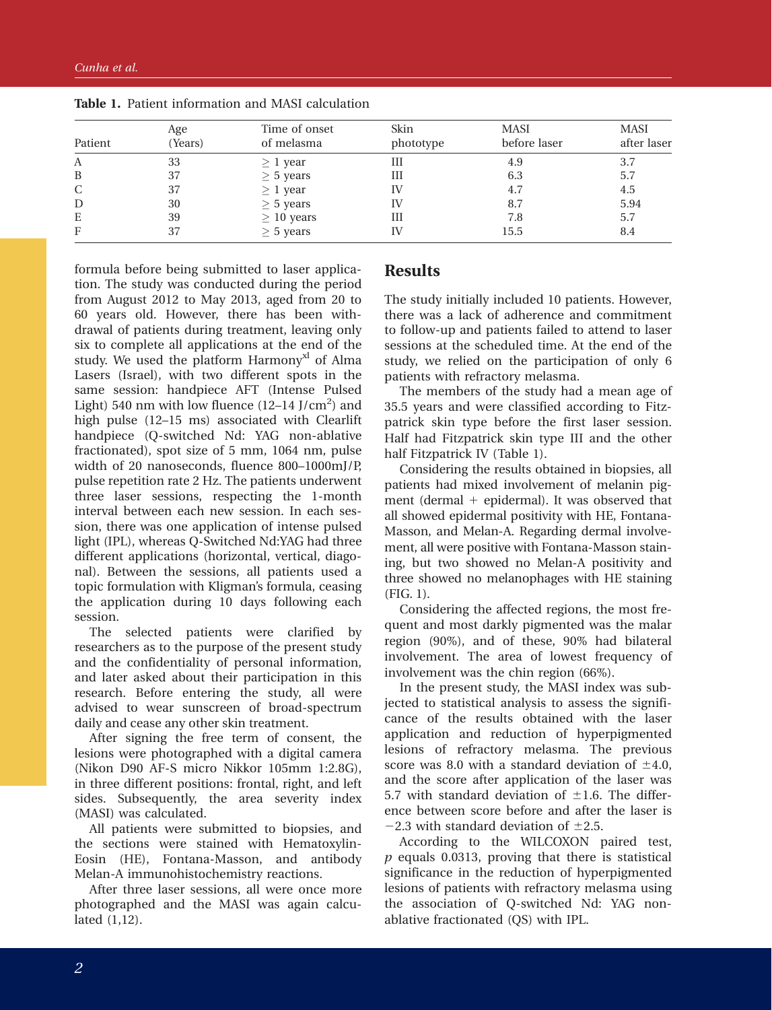| Patient | Age<br>(Years) | Time of onset<br>of melasma | Skin<br>phototype | <b>MASI</b><br>before laser | <b>MASI</b><br>after laser |
|---------|----------------|-----------------------------|-------------------|-----------------------------|----------------------------|
| A       | 33             | $\geq 1$ year               | Ш                 | 4.9                         | 3.7                        |
| B       | 37             | $\geq$ 5 years              | Ш                 | 6.3                         | 5.7                        |
| C       | 37             | $\geq 1$ year               | IV                | 4.7                         | 4.5                        |
| D       | 30             | $\geq$ 5 years              | IV                | 8.7                         | 5.94                       |
| E       | 39             | $\geq 10$ years             | Ш                 | 7.8                         | 5.7                        |
| F       | 37             | $\geq$ 5 years              | IV                | 15.5                        | 8.4                        |

Table 1. Patient information and MASI calculation

formula before being submitted to laser application. The study was conducted during the period from August 2012 to May 2013, aged from 20 to 60 years old. However, there has been withdrawal of patients during treatment, leaving only six to complete all applications at the end of the study. We used the platform Harmony<sup>xl</sup> of Alma Lasers (Israel), with two different spots in the same session: handpiece AFT (Intense Pulsed Light) 540 nm with low fluence  $(12-14$  J/cm<sup>2</sup>) and high pulse (12–15 ms) associated with Clearlift handpiece (Q-switched Nd: YAG non-ablative fractionated), spot size of 5 mm, 1064 nm, pulse width of 20 nanoseconds, fluence 800–1000mJ/P, pulse repetition rate 2 Hz. The patients underwent three laser sessions, respecting the 1-month interval between each new session. In each session, there was one application of intense pulsed light (IPL), whereas Q-Switched Nd:YAG had three different applications (horizontal, vertical, diagonal). Between the sessions, all patients used a topic formulation with Kligman's formula, ceasing the application during 10 days following each session.

The selected patients were clarified by researchers as to the purpose of the present study and the confidentiality of personal information, and later asked about their participation in this research. Before entering the study, all were advised to wear sunscreen of broad-spectrum daily and cease any other skin treatment.

After signing the free term of consent, the lesions were photographed with a digital camera (Nikon D90 AF-S micro Nikkor 105mm 1:2.8G), in three different positions: frontal, right, and left sides. Subsequently, the area severity index (MASI) was calculated.

All patients were submitted to biopsies, and the sections were stained with Hematoxylin-Eosin (HE), Fontana-Masson, and antibody Melan-A immunohistochemistry reactions.

After three laser sessions, all were once more photographed and the MASI was again calculated (1,12).

#### Results

The study initially included 10 patients. However, there was a lack of adherence and commitment to follow-up and patients failed to attend to laser sessions at the scheduled time. At the end of the study, we relied on the participation of only 6 patients with refractory melasma.

The members of the study had a mean age of 35.5 years and were classified according to Fitzpatrick skin type before the first laser session. Half had Fitzpatrick skin type III and the other half Fitzpatrick IV (Table 1).

Considering the results obtained in biopsies, all patients had mixed involvement of melanin pigment (dermal  $+$  epidermal). It was observed that all showed epidermal positivity with HE, Fontana-Masson, and Melan-A. Regarding dermal involvement, all were positive with Fontana-Masson staining, but two showed no Melan-A positivity and three showed no melanophages with HE staining (FIG. 1).

Considering the affected regions, the most frequent and most darkly pigmented was the malar region (90%), and of these, 90% had bilateral involvement. The area of lowest frequency of involvement was the chin region (66%).

In the present study, the MASI index was subjected to statistical analysis to assess the significance of the results obtained with the laser application and reduction of hyperpigmented lesions of refractory melasma. The previous score was 8.0 with a standard deviation of  $\pm 4.0$ , and the score after application of the laser was 5.7 with standard deviation of  $\pm 1.6$ . The difference between score before and after the laser is  $-2.3$  with standard deviation of  $\pm 2.5$ .

According to the WILCOXON paired test,  $p$  equals 0.0313, proving that there is statistical significance in the reduction of hyperpigmented lesions of patients with refractory melasma using the association of Q-switched Nd: YAG nonablative fractionated (QS) with IPL.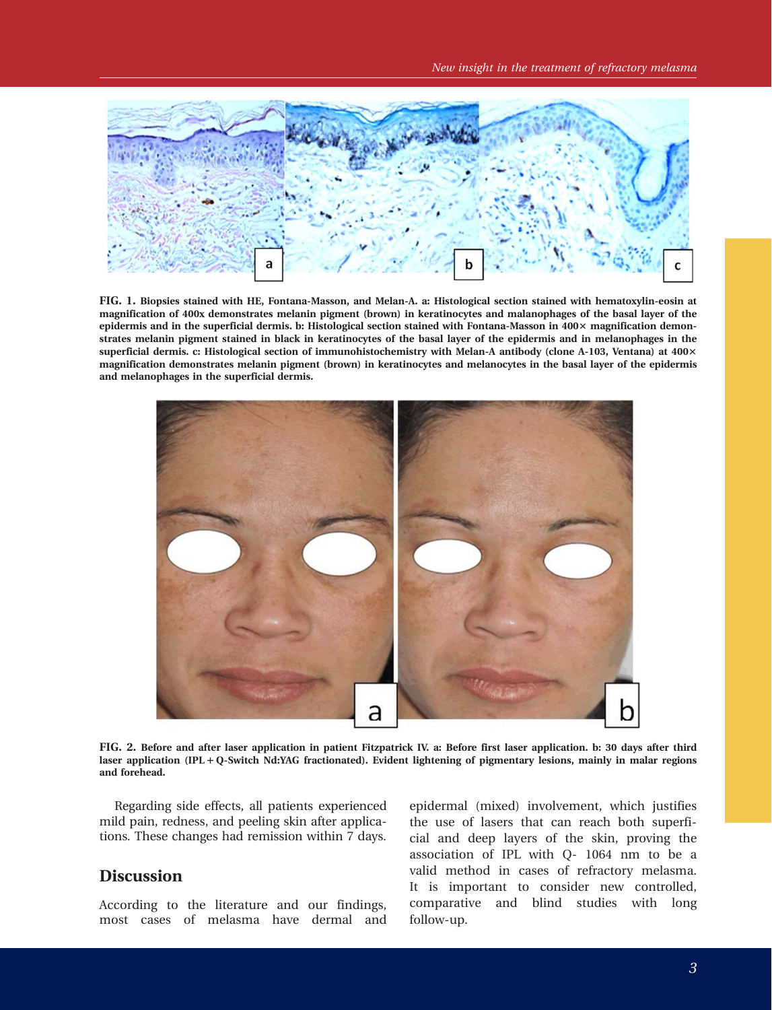

FIG. 1. Biopsies stained with HE, Fontana-Masson, and Melan-A. a: Histological section stained with hematoxylin-eosin at magnification of 400x demonstrates melanin pigment (brown) in keratinocytes and malanophages of the basal layer of the epidermis and in the superficial dermis. b: Histological section stained with Fontana-Masson in  $400 \times$  magnification demonstrates melanin pigment stained in black in keratinocytes of the basal layer of the epidermis and in melanophages in the superficial dermis. c: Histological section of immunohistochemistry with Melan-A antibody (clone A-103, Ventana) at 400× magnification demonstrates melanin pigment (brown) in keratinocytes and melanocytes in the basal layer of the epidermis and melanophages in the superficial dermis.



FIG. 2. Before and after laser application in patient Fitzpatrick IV. a: Before first laser application. b: 30 days after third laser application (IPL + Q-Switch Nd:YAG fractionated). Evident lightening of pigmentary lesions, mainly in malar regions and forehead.

Regarding side effects, all patients experienced mild pain, redness, and peeling skin after applications. These changes had remission within 7 days.

#### **Discussion**

According to the literature and our findings, most cases of melasma have dermal and epidermal (mixed) involvement, which justifies the use of lasers that can reach both superficial and deep layers of the skin, proving the association of IPL with Q- 1064 nm to be a valid method in cases of refractory melasma. It is important to consider new controlled, comparative and blind studies with long follow-up.